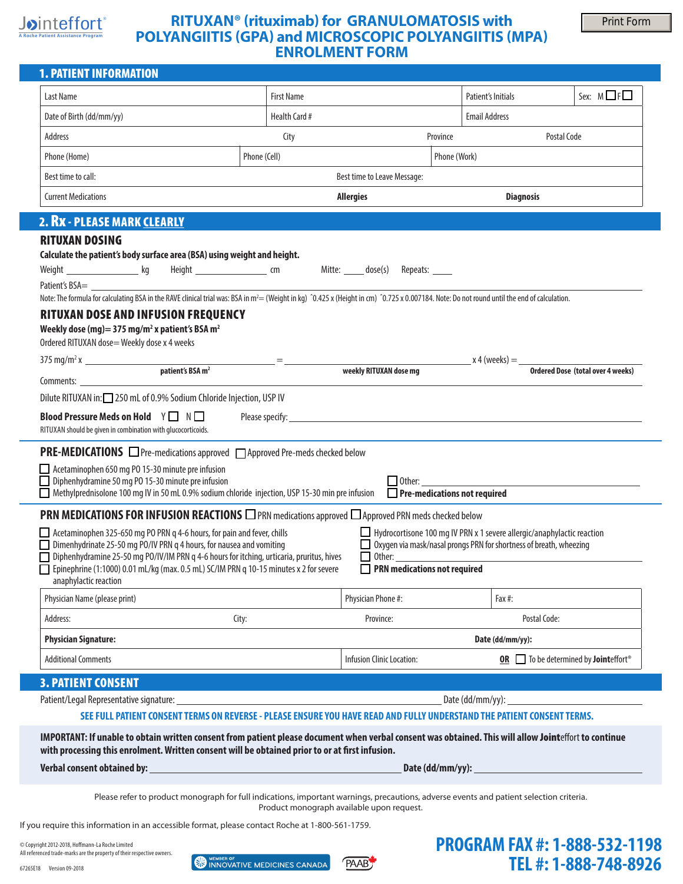## Jointeffort® **A Roche Patient Assistance Program**

# **RITUXAN® (rituximab) for GRANULOMATOSIS with POLYANGIITIS (GPA) and MICROSCOPIC POLYANGIITIS (MPA) ENROLMENT FORM**

 **TEL #: 1-888-748-8926** 

| <b>1. PATIENT INFORMATION</b>                                                                                                                                                                                                                                                                      |              |                                |                                                                                                                                                                 |                                      |                                      |                                                                  |
|----------------------------------------------------------------------------------------------------------------------------------------------------------------------------------------------------------------------------------------------------------------------------------------------------|--------------|--------------------------------|-----------------------------------------------------------------------------------------------------------------------------------------------------------------|--------------------------------------|--------------------------------------|------------------------------------------------------------------|
| Last Name                                                                                                                                                                                                                                                                                          |              | <b>First Name</b>              |                                                                                                                                                                 |                                      | Patient's Initials                   | Sex: $M \Box F \Box$                                             |
| Date of Birth (dd/mm/yy)                                                                                                                                                                                                                                                                           |              | Health Card #                  |                                                                                                                                                                 |                                      | <b>Email Address</b>                 |                                                                  |
| Address                                                                                                                                                                                                                                                                                            |              | City                           |                                                                                                                                                                 | Province                             |                                      | Postal Code                                                      |
| Phone (Home)                                                                                                                                                                                                                                                                                       | Phone (Cell) |                                |                                                                                                                                                                 | Phone (Work)                         |                                      |                                                                  |
| Best time to call:                                                                                                                                                                                                                                                                                 |              |                                | Best time to Leave Message:                                                                                                                                     |                                      |                                      |                                                                  |
| <b>Current Medications</b>                                                                                                                                                                                                                                                                         |              |                                |                                                                                                                                                                 | <b>Diagnosis</b><br><b>Allergies</b> |                                      |                                                                  |
| 2. Rx - PLEASE MARK CLEARLY                                                                                                                                                                                                                                                                        |              |                                |                                                                                                                                                                 |                                      |                                      |                                                                  |
| <b>RITUXAN DOSING</b>                                                                                                                                                                                                                                                                              |              |                                |                                                                                                                                                                 |                                      |                                      |                                                                  |
| Calculate the patient's body surface area (BSA) using weight and height.                                                                                                                                                                                                                           |              |                                |                                                                                                                                                                 |                                      |                                      |                                                                  |
|                                                                                                                                                                                                                                                                                                    |              |                                |                                                                                                                                                                 |                                      |                                      |                                                                  |
| Patient's BSA=<br>Note: The formula for calculating BSA in the RAVE clinical trial was: BSA in m <sup>2</sup> = (Weight in kg) ^0.425 x (Height in cm) ^0.725 x 0.007184. Note: Do not round until the end of calculation.                                                                         |              |                                |                                                                                                                                                                 |                                      |                                      |                                                                  |
| <b>RITUXAN DOSE AND INFUSION FREQUENCY</b>                                                                                                                                                                                                                                                         |              |                                |                                                                                                                                                                 |                                      |                                      |                                                                  |
| Weekly dose (mg) = 375 mg/m <sup>2</sup> x patient's BSA m <sup>2</sup>                                                                                                                                                                                                                            |              |                                |                                                                                                                                                                 |                                      |                                      |                                                                  |
| Ordered RITUXAN dose= Weekly dose x 4 weeks                                                                                                                                                                                                                                                        |              |                                |                                                                                                                                                                 |                                      |                                      |                                                                  |
| $375 \text{ mg/m}^2 \text{ x}$ patient's BSA m <sup>2</sup>                                                                                                                                                                                                                                        |              | <u> 1999 - Jan Alexander (</u> | weekly RITUXAN dose mg                                                                                                                                          |                                      | $x 4$ (weeks) $=$                    | Ordered Dose (total over 4 weeks)                                |
| Comments: the community of the community of the community of the community of the community of the community of the community of the community of the community of the community of the community of the community of the comm                                                                     |              |                                |                                                                                                                                                                 |                                      |                                      |                                                                  |
| Dilute RITUXAN in: 250 mL of 0.9% Sodium Chloride Injection, USP IV                                                                                                                                                                                                                                |              |                                |                                                                                                                                                                 |                                      |                                      |                                                                  |
| <b>Blood Pressure Meds on Hold</b> Y ■ N ■<br>RITUXAN should be given in combination with glucocorticoids.                                                                                                                                                                                         |              |                                |                                                                                                                                                                 |                                      |                                      |                                                                  |
| <b>PRE-MEDICATIONS</b> □ Pre-medications approved □ Approved Pre-meds checked below<br>Acetaminophen 650 mg PO 15-30 minute pre infusion<br>Diphenhydramine 50 mg PO 15-30 minute pre infusion<br>Methylprednisolone 100 mg IV in 50 mL 0.9% sodium chloride injection, USP 15-30 min pre infusion |              |                                |                                                                                                                                                                 |                                      | $\Box$ Pre-medications not required  |                                                                  |
| PRN MEDICATIONS FOR INFUSION REACTIONS DPRN medications approved DApproved PRN meds checked below                                                                                                                                                                                                  |              |                                |                                                                                                                                                                 |                                      |                                      |                                                                  |
| Acetaminophen 325-650 mg PO PRN q 4-6 hours, for pain and fever, chills<br>$\Box$ Dimenhydrinate 25-50 mg PO/IV PRN q 4 hours, for nausea and vomiting<br>Diphenhydramine 25-50 mg PO/IV/IM PRN q 4-6 hours for itching, urticaria, pruritus, hives                                                |              |                                | $\Box$ Hydrocortisone 100 mg IV PRN x 1 severe allergic/anaphylactic reaction<br>□ Oxygen via mask/nasal prongs PRN for shortness of breath, wheezing<br>Other: |                                      |                                      |                                                                  |
| Epinephrine (1:1000) 0.01 mL/kg (max. 0.5 mL) SC/IM PRN q 10-15 minutes x 2 for severe<br>anaphylactic reaction                                                                                                                                                                                    |              |                                |                                                                                                                                                                 |                                      | PRN medications not required         |                                                                  |
| Physician Name (please print)                                                                                                                                                                                                                                                                      |              |                                | Physician Phone #:                                                                                                                                              |                                      | Fax #:                               |                                                                  |
| Address:                                                                                                                                                                                                                                                                                           | City:        |                                | Province:                                                                                                                                                       |                                      | Postal Code:                         |                                                                  |
| <b>Physician Signature:</b>                                                                                                                                                                                                                                                                        |              |                                |                                                                                                                                                                 |                                      | Date (dd/mm/yy):                     |                                                                  |
| <b>Additional Comments</b>                                                                                                                                                                                                                                                                         |              |                                | Infusion Clinic Location:                                                                                                                                       |                                      |                                      | OR <b>D</b> To be determined by <b>Joint</b> effort <sup>®</sup> |
| <b>3. PATIENT CONSENT</b>                                                                                                                                                                                                                                                                          |              |                                |                                                                                                                                                                 |                                      |                                      |                                                                  |
|                                                                                                                                                                                                                                                                                                    |              |                                |                                                                                                                                                                 |                                      |                                      |                                                                  |
| SEE FULL PATIENT CONSENT TERMS ON REVERSE - PLEASE ENSURE YOU HAVE READ AND FULLY UNDERSTAND THE PATIENT CONSENT TERMS.                                                                                                                                                                            |              |                                |                                                                                                                                                                 |                                      |                                      |                                                                  |
| IMPORTANT: If unable to obtain written consent from patient please document when verbal consent was obtained. This will allow Jointeffort to continue<br>with processing this enrolment. Written consent will be obtained prior to or at first infusion.                                           |              |                                |                                                                                                                                                                 |                                      |                                      |                                                                  |
|                                                                                                                                                                                                                                                                                                    |              |                                |                                                                                                                                                                 |                                      |                                      |                                                                  |
| Please refer to product monograph for full indications, important warnings, precautions, adverse events and patient selection criteria.                                                                                                                                                            |              |                                | Product monograph available upon request.                                                                                                                       |                                      |                                      |                                                                  |
| If you require this information in an accessible format, please contact Roche at 1-800-561-1759.                                                                                                                                                                                                   |              |                                |                                                                                                                                                                 |                                      |                                      |                                                                  |
| Copyright 2012-2018, Hoffmann-La Roche Limited                                                                                                                                                                                                                                                     |              |                                |                                                                                                                                                                 |                                      | <b>PROGRAM FAX #: 1-888-532-1198</b> |                                                                  |

All referenced trade-marks are the property of their respective owners. 67265E18 Version 09-2018

INNOVATIVE MEDICINES CANADA